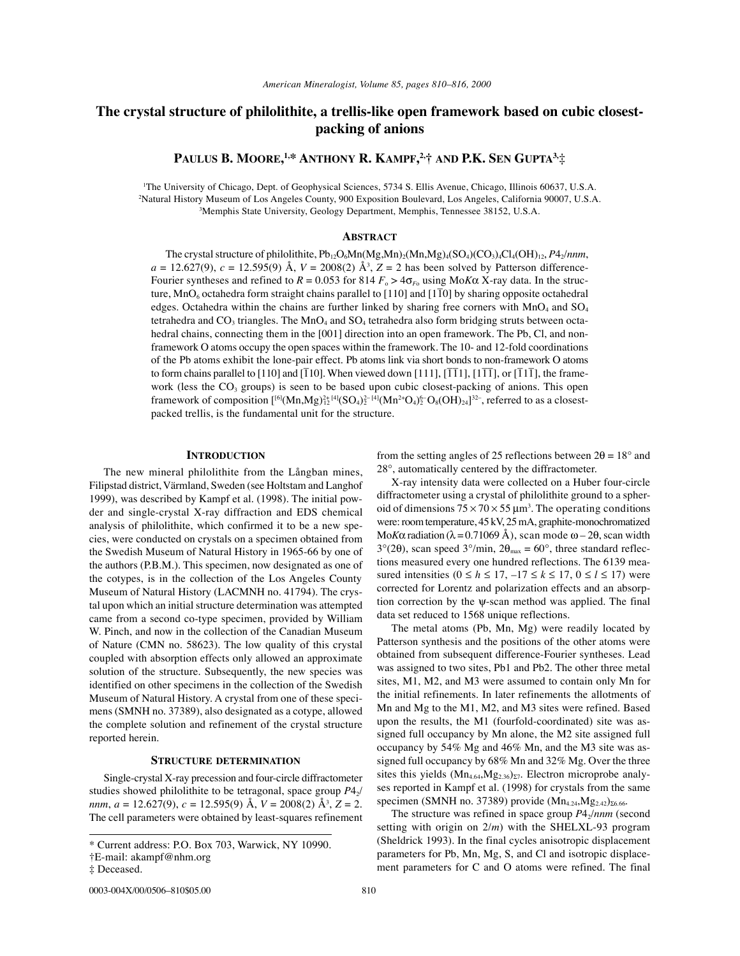# **The crystal structure of philolithite, a trellis-like open framework based on cubic closestpacking of anions**

**PAULUS B. MOORE, 1,\* ANTHONY R. KAMPF, 2,† AND P.K. SEN GUPTA3,**‡

1 The University of Chicago, Dept. of Geophysical Sciences, 5734 S. Ellis Avenue, Chicago, Illinois 60637, U.S.A. 2 Natural History Museum of Los Angeles County, 900 Exposition Boulevard, Los Angeles, California 90007, U.S.A. 3 Memphis State University, Geology Department, Memphis, Tennessee 38152, U.S.A.

# **ABSTRACT**

The crystal structure of philolithite,  $Pb_{12}O_6Mn(Mg,Mn)_2(Mn,Mg)_4(SO_4)(CO_3)_4Cl_4(OH)_{12}$ ,  $P4_2/nnm$ ,  $a = 12.627(9)$ ,  $c = 12.595(9)$  Å,  $V = 2008(2)$  Å<sup>3</sup>,  $Z = 2$  has been solved by Patterson difference-Fourier syntheses and refined to  $R = 0.053$  for 814  $F_0 > 4\sigma_{F_0}$  using ΜοΚα X-ray data. In the structure, MnO<sub>6</sub> octahedra form straight chains parallel to  $[110]$  and  $[1\overline{10}]$  by sharing opposite octahedral edges. Octahedra within the chains are further linked by sharing free corners with  $MnO<sub>4</sub>$  and  $SO<sub>4</sub>$ tetrahedra and  $CO_3$  triangles. The  $MnO_4$  and  $SO_4$  tetrahedra also form bridging struts between octahedral chains, connecting them in the [001] direction into an open framework. The Pb, Cl, and nonframework O atoms occupy the open spaces within the framework. The 10- and 12-fold coordinations of the Pb atoms exhibit the lone-pair effect. Pb atoms link via short bonds to non-framework O atoms to form chains parallel to  $[110]$  and  $[\overline{110}]$ . When viewed down  $[111]$ ,  $[\overline{111}]$ ,  $[1\overline{11}]$ , or  $[\overline{111}]$ , the framework (less the  $CO<sub>3</sub>$  groups) is seen to be based upon cubic closest-packing of anions. This open framework of composition  $[{}^{[6]}(Mn,Mg)_{12}^{2+ [4]}(SO_4)_2^{2- [4]}(Mn^{2+}O_4)_2^{6-}O_8(OH)_{24}]^{32-}$ , referred to as a closestpacked trellis, is the fundamental unit for the structure.

### **INTRODUCTION**

The new mineral philolithite from the Långban mines, Filipstad district, Värmland, Sweden (see Holtstam and Langhof 1999), was described by Kampf et al. (1998). The initial powder and single-crystal X-ray diffraction and EDS chemical analysis of philolithite, which confirmed it to be a new species, were conducted on crystals on a specimen obtained from the Swedish Museum of Natural History in 1965-66 by one of the authors (P.B.M.). This specimen, now designated as one of the cotypes, is in the collection of the Los Angeles County Museum of Natural History (LACMNH no. 41794). The crystal upon which an initial structure determination was attempted came from a second co-type specimen, provided by William W. Pinch, and now in the collection of the Canadian Museum of Nature (CMN no. 58623). The low quality of this crystal coupled with absorption effects only allowed an approximate solution of the structure. Subsequently, the new species was identified on other specimens in the collection of the Swedish Museum of Natural History. A crystal from one of these specimens (SMNH no. 37389), also designated as a cotype, allowed the complete solution and refinement of the crystal structure reported herein.

### **STRUCTURE DETERMINATION**

Single-crystal X-ray precession and four-circle diffractometer studies showed philolithite to be tetragonal, space group  $P4<sub>2</sub>$ / *nnm*, *a* = 12.627(9), *c* = 12.595(9) Å, *V* = 2008(2) Å3 , *Z* = 2. The cell parameters were obtained by least-squares refinement from the setting angles of 25 reflections between  $2\theta = 18^\circ$  and 28°, automatically centered by the diffractometer.

X-ray intensity data were collected on a Huber four-circle diffractometer using a crystal of philolithite ground to a spheroid of dimensions  $75 \times 70 \times 55 \,\mu m^3$ . The operating conditions were: room temperature, 45 kV, 25 mA, graphite-monochromatized Mo*K*α radiation ( $\lambda$  = 0.71069 Å), scan mode ω – 2θ, scan width 3°(2 $\theta$ ), scan speed 3°/min, 2 $\theta_{\text{max}} = 60^{\circ}$ , three standard reflections measured every one hundred reflections. The 6139 measured intensities  $(0 \le h \le 17, -17 \le k \le 17, 0 \le l \le 17)$  were corrected for Lorentz and polarization effects and an absorption correction by the ψ-scan method was applied. The final data set reduced to 1568 unique reflections.

The metal atoms (Pb, Mn, Mg) were readily located by Patterson synthesis and the positions of the other atoms were obtained from subsequent difference-Fourier syntheses. Lead was assigned to two sites, Pb1 and Pb2. The other three metal sites, M1, M2, and M3 were assumed to contain only Mn for the initial refinements. In later refinements the allotments of Mn and Mg to the M1, M2, and M3 sites were refined. Based upon the results, the M1 (fourfold-coordinated) site was assigned full occupancy by Mn alone, the M2 site assigned full occupancy by 54% Mg and 46% Mn, and the M3 site was assigned full occupancy by 68% Mn and 32% Mg. Over the three sites this yields  $(Mn_{4.64}, Mg_{2.36})_{\Sigma7}$ . Electron microprobe analyses reported in Kampf et al. (1998) for crystals from the same specimen (SMNH no. 37389) provide  $(Mn_{4.24}, Mg_{2.42})_{\Sigma 6.66}$ .

The structure was refined in space group  $P4<sub>2</sub>/nnm$  (second setting with origin on 2/*m*) with the SHELXL-93 program (Sheldrick 1993). In the final cycles anisotropic displacement parameters for Pb, Mn, Mg, S, and Cl and isotropic displacement parameters for C and O atoms were refined. The final

<sup>\*</sup> Current address: P.O. Box 703, Warwick, NY 10990.

<sup>†</sup>E-mail: akampf@nhm.org

<sup>‡</sup> Deceased.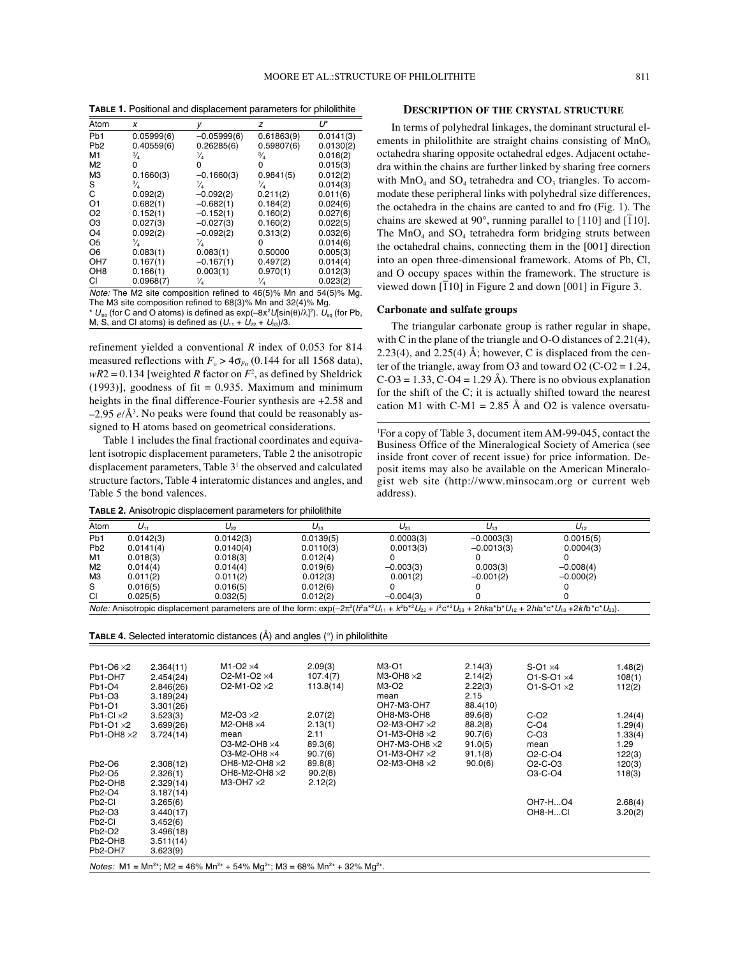**TABLE 1.** Positional and displacement parameters for philolithite

| Atom             | x                            | у             | z                                                                                                                                                   | U*        |
|------------------|------------------------------|---------------|-----------------------------------------------------------------------------------------------------------------------------------------------------|-----------|
| Pb <sub>1</sub>  | 0.05999(6)                   | $-0.05999(6)$ | 0.61863(9)                                                                                                                                          | 0.0141(3) |
| P <sub>b</sub> 2 | 0.40559(6)                   | 0.26285(6)    | 0.59807(6)                                                                                                                                          | 0.0130(2) |
| M1               | $\frac{3}{4}$                | ¼             | ℁                                                                                                                                                   | 0.016(2)  |
| M <sub>2</sub>   | 0                            | 0             | o                                                                                                                                                   | 0.015(3)  |
| MЗ               | 0.1660(3)                    | $-0.1660(3)$  | 0.9841(5)                                                                                                                                           | 0.012(2)  |
| S                | $\frac{3}{4}$                | ¼             | ¼                                                                                                                                                   | 0.014(3)  |
| C                | 0.092(2)                     | $-0.092(2)$   | 0.211(2)                                                                                                                                            | 0.011(6)  |
| O <sub>1</sub>   | 0.682(1)                     | $-0.682(1)$   | 0.184(2)                                                                                                                                            | 0.024(6)  |
| O <sub>2</sub>   | 0.152(1)                     | $-0.152(1)$   | 0.160(2)                                                                                                                                            | 0.027(6)  |
| O <sub>3</sub>   | 0.027(3)                     | $-0.027(3)$   | 0.160(2)                                                                                                                                            | 0.022(5)  |
| O <sub>4</sub>   | 0.092(2)                     | $-0.092(2)$   | 0.313(2)                                                                                                                                            | 0.032(6)  |
| O <sub>5</sub>   | ¼                            | ¼             | o                                                                                                                                                   | 0.014(6)  |
| O <sub>6</sub>   | 0.083(1)                     | 0.083(1)      | 0.50000                                                                                                                                             | 0.005(3)  |
| OH <sub>7</sub>  | 0.167(1)                     | $-0.167(1)$   | 0.497(2)                                                                                                                                            | 0.014(4)  |
| OH <sub>8</sub>  | 0.166(1)                     | 0.003(1)      | 0.970(1)                                                                                                                                            | 0.012(3)  |
| CI               | 0.0968(7)                    | ¼             | ¼                                                                                                                                                   | 0.023(2)  |
|                  | $M = 1 - 1$ The $M = 11 - 1$ |               | $\mathbf{A}^{\dagger}$ are not in a definition of $\mathbf{A}$ and $\mathbf{A}$ and $\mathbf{A}$ and $\mathbf{A}$ and $\mathbf{A}$ and $\mathbf{A}$ |           |

Note: The M2 site composition refined to 46(5)% Mn and 54(5)% Mg. The M3 site composition refined to 68(3)% Mn and 32(4)% Mg.

\*  $U_{\rm iso}$  (for C and O atoms) is defined as  $\exp(-8\pi^2U[\sin(\theta)/\lambda]^2)$ .  $U_{\rm eq}$  (for Pb, M, S, and Cl atoms) is defined as  $(U_{11} + U_{22} + U_{33})/3$ .

refinement yielded a conventional *R* index of 0.053 for 814 measured reflections with  $F_{o} > 4\sigma_{F_{o}}$  (0.144 for all 1568 data),  $wR2 = 0.134$  [weighted *R* factor on  $F^2$ , as defined by Sheldrick  $(1993)$ ], goodness of fit = 0.935. Maximum and minimum heights in the final difference-Fourier synthesis are  $+2.58$  and –2.95 *e*/Å3 . No peaks were found that could be reasonably assigned to H atoms based on geometrical considerations.

Table 1 includes the final fractional coordinates and equivalent isotropic displacement parameters, Table 2 the anisotropic displacement parameters, Table 3<sup>1</sup> the observed and calculated structure factors, Table 4 interatomic distances and angles, and Table 5 the bond valences.

**TABLE 2.** Anisotropic displacement parameters for philolithite

# **DESCRIPTION OF THE CRYSTAL STRUCTURE**

In terms of polyhedral linkages, the dominant structural elements in philolithite are straight chains consisting of  $MnO<sub>6</sub>$ octahedra sharing opposite octahedral edges. Adjacent octahedra within the chains are further linked by sharing free corners with  $MnO_4$  and  $SO_4$  tetrahedra and  $CO_3$  triangles. To accommodate these peripheral links with polyhedral size differences, the octahedra in the chains are canted to and fro (Fig. 1). The chains are skewed at  $90^{\circ}$ , running parallel to [110] and [ $\overline{1}10$ ]. The  $MnO_4$  and  $SO_4$  tetrahedra form bridging struts between the octahedral chains, connecting them in the [001] direction into an open three-dimensional framework. Atoms of Pb, Cl, and O occupy spaces within the framework. The structure is viewed down [1<sup>1</sup>] in Figure 2 and down [001] in Figure 3.

### **Carbonate and sulfate groups**

The triangular carbonate group is rather regular in shape, with C in the plane of the triangle and O-O distances of 2.21(4), 2.23(4), and 2.25(4) Å; however, C is displaced from the center of the triangle, away from O3 and toward O2 (C-O2 =  $1.24$ ,  $C$ -O3 = 1.33,  $C$ -O4 = 1.29 Å). There is no obvious explanation for the shift of the C; it is actually shifted toward the nearest cation M1 with C-M1 = 2.85 Å and O2 is valence oversatu-

1 For a copy of Table 3, document item AM-99-045, contact the Business Office of the Mineralogical Society of America (see inside front cover of recent issue) for price information. Deposit items may also be available on the American Mineralogist web site (http://www.minsocam.org or current web address).

| Atom             | $U_{11}$  | $U_{22}$                                                                                                                                                                                                                                                                  | $U_{33}$  | $U_{23}$    | $U_{13}$     | $U_{12}$    |
|------------------|-----------|---------------------------------------------------------------------------------------------------------------------------------------------------------------------------------------------------------------------------------------------------------------------------|-----------|-------------|--------------|-------------|
| Pb <sub>1</sub>  | 0.0142(3) | 0.0142(3)                                                                                                                                                                                                                                                                 | 0.0139(5) | 0.0003(3)   | $-0.0003(3)$ | 0.0015(5)   |
| P <sub>b</sub> 2 | 0.0141(4) | 0.0140(4)                                                                                                                                                                                                                                                                 | 0.0110(3) | 0.0013(3)   | $-0.0013(3)$ | 0.0004(3)   |
| M1               | 0.018(3)  | 0.018(3)                                                                                                                                                                                                                                                                  | 0.012(4)  |             |              |             |
| M2               | 0.014(4)  | 0.014(4)                                                                                                                                                                                                                                                                  | 0.019(6)  | $-0.003(3)$ | 0.003(3)     | $-0.008(4)$ |
| ΜЗ               | 0.011(2)  | 0.011(2)                                                                                                                                                                                                                                                                  | 0.012(3)  | 0.001(2)    | $-0.001(2)$  | $-0.000(2)$ |
| S                | 0.016(5)  | 0.016(5)                                                                                                                                                                                                                                                                  | 0.012(6)  |             |              |             |
| CI               | 0.025(5)  | 0.032(5)                                                                                                                                                                                                                                                                  | 0.012(2)  | $-0.004(3)$ |              |             |
|                  |           | <i>Note:</i> Anisotropic displacement parameters are of the form: $\exp(-2\pi^2(h^2a^2U_{11} + k^2b^2U_{22} + l^2c^2U_{33} + 2hk^2b^2U_{13} + 2hk^2b^2U_{13} + 2kh^2c^2U_{13} + 2kh^2c^2U_{13} + 2kh^2c^2U_{13} + 2kh^2c^2U_{13} + 2kh^2c^2U_{13} + 2kh^2c^2U_{13} + 2kh$ |           |             |              |             |

**TABLE 4.** Selected interatomic distances (Å) and angles (°) in philolithite

| Pb1-O6 $\times$ 2   | 2.364(11) | M <sub>1</sub> -O <sub>2</sub> $\times$ 4                 | 2.09(3)   | M3-O1                 | 2.14(3)  | $S-O1 \times 4$                  | 1.48(2) |
|---------------------|-----------|-----------------------------------------------------------|-----------|-----------------------|----------|----------------------------------|---------|
| Pb1-OH7             | 2.454(24) | O <sub>2</sub> -M <sub>1</sub> -O <sub>2</sub> $\times$ 4 | 107.4(7)  | $M3-OH8 \times 2$     | 2.14(2)  | $O1-S-O1 \times 4$               | 108(1)  |
| Pb1-O4              | 2.846(26) | O2-M1-O2 $\times$ 2                                       | 113.8(14) | M3-O2                 | 2.22(3)  | $O1-S-O1 \times 2$               | 112(2)  |
| Pb1-O3              | 3.189(24) |                                                           |           | mean                  | 2.15     |                                  |         |
| Pb1-O1              | 3.301(26) |                                                           |           | OH7-M3-OH7            | 88.4(10) |                                  |         |
| Pb1-Cl $\times$ 2   | 3.523(3)  | M2-O3 $\times$ 2                                          | 2.07(2)   | OH8-M3-OH8            | 89.6(8)  | $C-O2$                           | 1.24(4) |
| Pb1-O1 $\times$ 2   | 3.699(26) | $M2-OH8 \times 4$                                         | 2.13(1)   | O2-M3-OH7 $\times$ 2  | 88.2(8)  | $C-O4$                           | 1.29(4) |
| $Pb1-OH8 \times 2$  | 3.724(14) | mean                                                      | 2.11      | O1-M3-OH8 $\times$ 2  | 90.7(6)  | $C-O3$                           | 1.33(4) |
|                     |           | O3-M2-OH8 ×4                                              | 89.3(6)   | OH7-M3-OH8 $\times$ 2 | 91.0(5)  | mean                             | 1.29    |
|                     |           | O3-M2-OH8 ×4                                              | 90.7(6)   | O1-M3-OH7 $\times$ 2  | 91.1(8)  | O <sub>2</sub> -C-O <sub>4</sub> | 122(3)  |
| Pb2-O6              | 2.308(12) | OH8-M2-OH8 $\times$ 2                                     | 89.8(8)   | O2-M3-OH8 $\times$ 2  | 90.0(6)  | O <sub>2</sub> -C-O <sub>3</sub> | 120(3)  |
| Pb2-O5              | 2.326(1)  | OH8-M2-OH8 $\times$ 2                                     | 90.2(8)   |                       |          | O3-C-O4                          | 118(3)  |
| Pb2-OH8             | 2.329(14) | $M3-OH7 \times 2$                                         | 2.12(2)   |                       |          |                                  |         |
| Pb2-O4              | 3.187(14) |                                                           |           |                       |          |                                  |         |
| Pb <sub>2</sub> -Cl | 3.265(6)  |                                                           |           |                       |          | OH7-HO4                          | 2.68(4) |
| Pb2-O3              | 3.440(17) |                                                           |           |                       |          | OH8-HCI                          | 3.20(2) |
| Pb <sub>2</sub> -Cl | 3.452(6)  |                                                           |           |                       |          |                                  |         |
| Pb2-O2              | 3.496(18) |                                                           |           |                       |          |                                  |         |
| Pb2-OH8             | 3.511(14) |                                                           |           |                       |          |                                  |         |
| Pb2-OH7             | 3.623(9)  |                                                           |           |                       |          |                                  |         |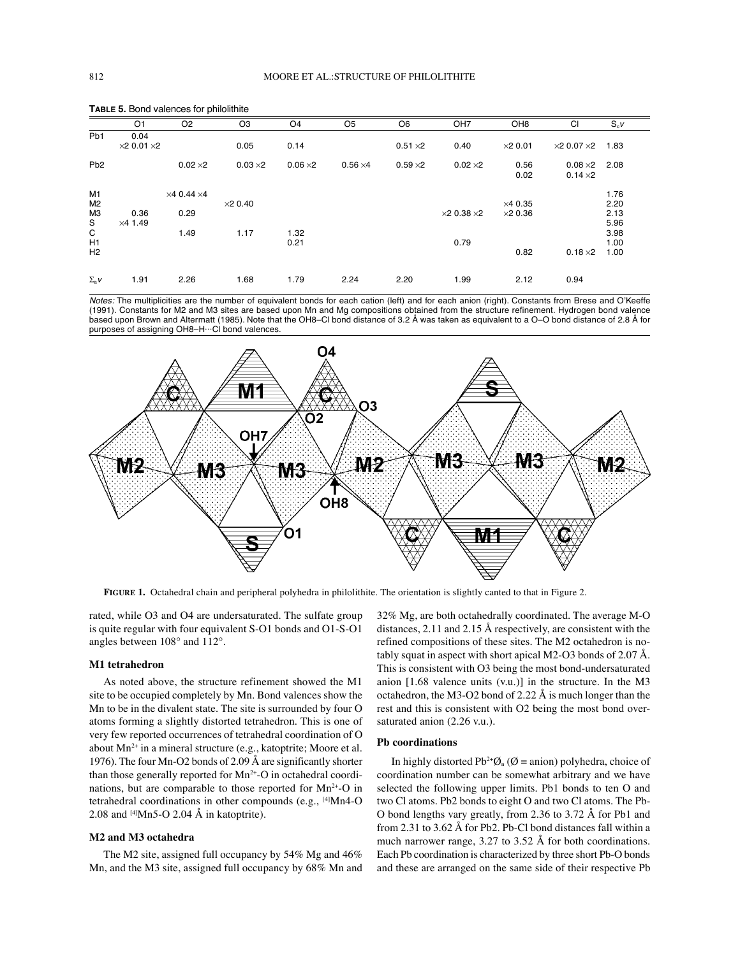|                    | 5.15.15.1555.15.15.15.15.15.15 |                            |                 |                 |                 |                 |                            |                 |                            |        |
|--------------------|--------------------------------|----------------------------|-----------------|-----------------|-----------------|-----------------|----------------------------|-----------------|----------------------------|--------|
|                    | O <sub>1</sub>                 | O <sub>2</sub>             | O <sub>3</sub>  | O <sub>4</sub>  | O <sub>5</sub>  | O <sub>6</sub>  | OH <sub>7</sub>            | OH <sub>8</sub> | CI                         | $S_cV$ |
| Pb <sub>1</sub>    | 0.04                           |                            |                 |                 |                 |                 |                            |                 |                            |        |
|                    | $\times 2$ 0.01 $\times 2$     |                            | 0.05            | 0.14            |                 | $0.51 \times 2$ | 0.40                       | $\times 2$ 0.01 | $\times$ 2 0.07 $\times$ 2 | 1.83   |
| Pb <sub>2</sub>    |                                | $0.02 \times 2$            | $0.03 \times 2$ | $0.06 \times 2$ | $0.56 \times 4$ | $0.59 \times 2$ | $0.02 \times 2$            | 0.56            | $0.08\times2$              | 2.08   |
|                    |                                |                            |                 |                 |                 |                 |                            | 0.02            | $0.14 \times 2$            |        |
| M1                 |                                | $\times$ 4 0.44 $\times$ 4 |                 |                 |                 |                 |                            |                 |                            | 1.76   |
| M <sub>2</sub>     |                                |                            | $\times$ 20.40  |                 |                 |                 |                            | $\times$ 4 0.35 |                            | 2.20   |
| МЗ                 | 0.36                           | 0.29                       |                 |                 |                 |                 | $\times$ 2 0.38 $\times$ 2 | $\times$ 20.36  |                            | 2.13   |
| S                  | $\times$ 4 1.49                |                            |                 |                 |                 |                 |                            |                 |                            | 5.96   |
| $\mathsf C$        |                                | 1.49                       | 1.17            | 1.32            |                 |                 |                            |                 |                            | 3.98   |
| H1                 |                                |                            |                 | 0.21            |                 |                 | 0.79                       |                 |                            | 1.00   |
| H <sub>2</sub>     |                                |                            |                 |                 |                 |                 |                            | 0.82            | $0.18 \times 2$            | 1.00   |
| $\Sigma_{\rm a}$ V | 1.91                           | 2.26                       | 1.68            | 1.79            | 2.24            | 2.20            | 1.99                       | 2.12            | 0.94                       |        |

**TABLE 5.** Bond valences for philolithite

Notes: The multiplicities are the number of equivalent bonds for each cation (left) and for each anion (right). Constants from Brese and O'Keeffe (1991). Constants for M2 and M3 sites are based upon Mn and Mg compositions obtained from the structure refinement. Hydrogen bond valence based upon Brown and Altermatt (1985). Note that the OH8–Cl bond distance of 3.2 Å was taken as equivalent to a O–O bond distance of 2.8 Å for purposes of assigning OH8–H···Cl bond valences.



**FIGURE 1.** Octahedral chain and peripheral polyhedra in philolithite. The orientation is slightly canted to that in Figure 2.

rated, while O3 and O4 are undersaturated. The sulfate group is quite regular with four equivalent S-O1 bonds and O1-S-O1 angles between 108° and 112°.

#### **M1 tetrahedron**

As noted above, the structure refinement showed the M1 site to be occupied completely by Mn. Bond valences show the Mn to be in the divalent state. The site is surrounded by four O atoms forming a slightly distorted tetrahedron. This is one of very few reported occurrences of tetrahedral coordination of O about  $Mn^{2+}$  in a mineral structure (e.g., katoptrite; Moore et al. 1976). The four Mn-O2 bonds of 2.09 Å are significantly shorter than those generally reported for  $Mn^{2+}$ -O in octahedral coordinations, but are comparable to those reported for  $Mn^{2+}$ -O in tetrahedral coordinations in other compounds (e.g., [4]Mn4-O 2.08 and  $[4]$ Mn5-O 2.04 Å in katoptrite).

#### **M2 and M3 octahedra**

The M2 site, assigned full occupancy by 54% Mg and 46% Mn, and the M3 site, assigned full occupancy by 68% Mn and 32% Mg, are both octahedrally coordinated. The average M-O distances, 2.11 and 2.15 Å respectively, are consistent with the refined compositions of these sites. The M2 octahedron is notably squat in aspect with short apical M2-O3 bonds of 2.07 Å. This is consistent with O3 being the most bond-undersaturated anion [1.68 valence units (v.u.)] in the structure. In the M3 octahedron, the M3-O2 bond of 2.22 Å is much longer than the rest and this is consistent with O2 being the most bond oversaturated anion (2.26 v.u.).

### **Pb coordinations**

In highly distorted Pb<sup>2+</sup> $\varnothing$ <sub>n</sub> ( $\varnothing$  = anion) polyhedra, choice of coordination number can be somewhat arbitrary and we have selected the following upper limits. Pb1 bonds to ten O and two Cl atoms. Pb2 bonds to eight O and two Cl atoms. The Pb-O bond lengths vary greatly, from 2.36 to 3.72 Å for Pb1 and from 2.31 to 3.62 Å for Pb2. Pb-Cl bond distances fall within a much narrower range, 3.27 to 3.52 Å for both coordinations. Each Pb coordination is characterized by three short Pb-O bonds and these are arranged on the same side of their respective Pb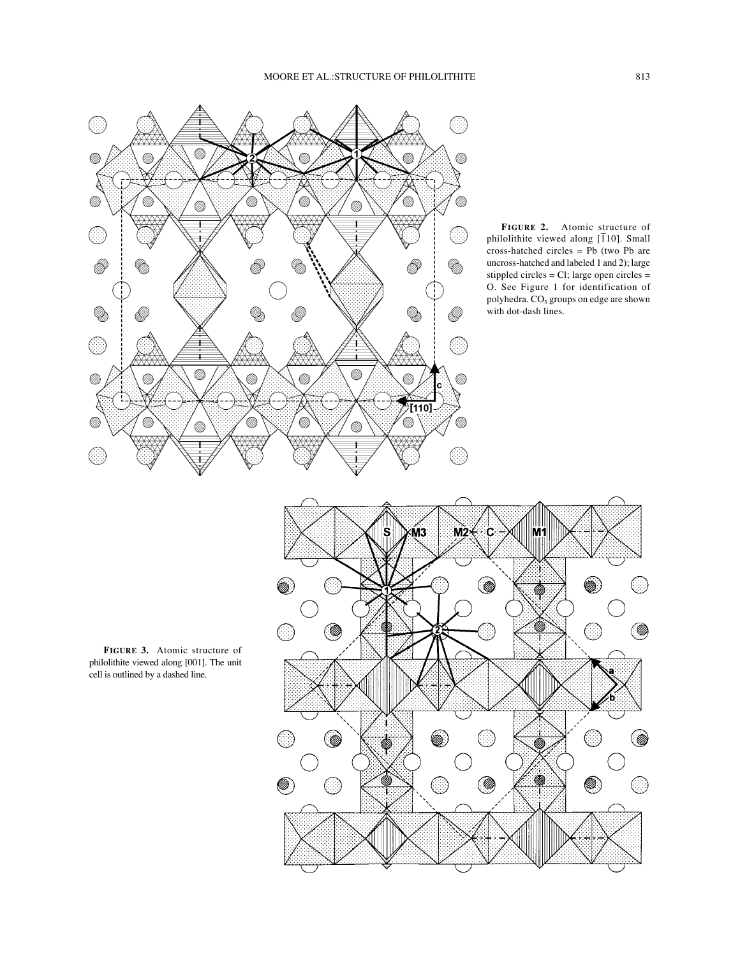

**FIGURE 2.** Atomic structure of philolithite viewed along  $\overline{110}$ . Small cross-hatched circles = Pb (two Pb are uncross-hatched and labeled 1 and 2); large stippled circles = Cl; large open circles = O. See Figure 1 for identification of polyhedra.  $\mathrm{CO}_3$  groups on edge are shown with dot-dash lines.

![](_page_3_Figure_3.jpeg)

**FIGURE 3.** Atomic structure of philolithite viewed along [001]. The unit cell is outlined by a dashed line.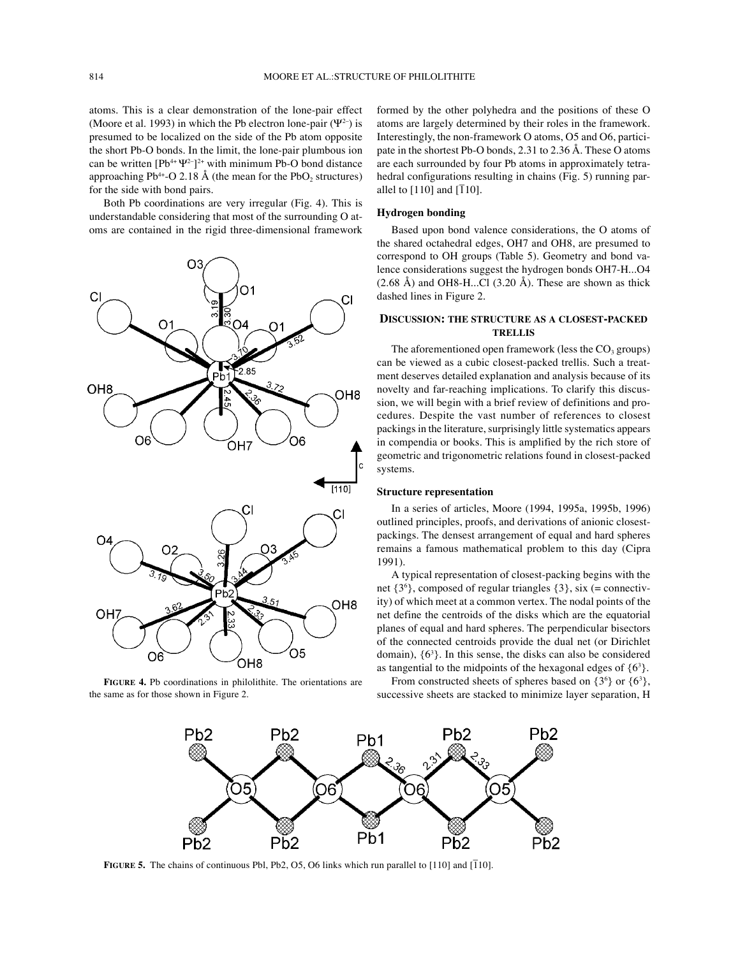atoms. This is a clear demonstration of the lone-pair effect (Moore et al. 1993) in which the Pb electron lone-pair ( $\Psi^{2-}$ ) is presumed to be localized on the side of the Pb atom opposite the short Pb-O bonds. In the limit, the lone-pair plumbous ion can be written  $[Pb^{4+}\Psi^{2-}]^{2+}$  with minimum Pb-O bond distance approaching Pb<sup>4+</sup>-O 2.18 Å (the mean for the PbO<sub>2</sub> structures) for the side with bond pairs.

Both Pb coordinations are very irregular (Fig. 4). This is understandable considering that most of the surrounding O atoms are contained in the rigid three-dimensional framework

![](_page_4_Figure_4.jpeg)

**FIGURE 4.** Pb coordinations in philolithite. The orientations are the same as for those shown in Figure 2.

formed by the other polyhedra and the positions of these O atoms are largely determined by their roles in the framework. Interestingly, the non-framework O atoms, O5 and O6, participate in the shortest Pb-O bonds, 2.31 to 2.36 Å. These O atoms are each surrounded by four Pb atoms in approximately tetrahedral configurations resulting in chains (Fig. 5) running parallel to  $[110]$  and  $[\overline{1}10]$ .

### **Hydrogen bonding**

Based upon bond valence considerations, the O atoms of the shared octahedral edges, OH7 and OH8, are presumed to correspond to OH groups (Table 5). Geometry and bond valence considerations suggest the hydrogen bonds OH7-H...O4  $(2.68 \text{ Å})$  and OH8-H...Cl  $(3.20 \text{ Å})$ . These are shown as thick dashed lines in Figure 2.

# **DISCUSSION: THE STRUCTURE AS A CLOSEST-PACKED TRELLIS**

The aforementioned open framework (less the  $CO<sub>3</sub>$  groups) can be viewed as a cubic closest-packed trellis. Such a treatment deserves detailed explanation and analysis because of its novelty and far-reaching implications. To clarify this discussion, we will begin with a brief review of definitions and procedures. Despite the vast number of references to closest packings in the literature, surprisingly little systematics appears in compendia or books. This is amplified by the rich store of geometric and trigonometric relations found in closest-packed systems.

### **Structure representation**

In a series of articles, Moore (1994, 1995a, 1995b, 1996) outlined principles, proofs, and derivations of anionic closestpackings. The densest arrangement of equal and hard spheres remains a famous mathematical problem to this day (Cipra 1991).

A typical representation of closest-packing begins with the net {36 }, composed of regular triangles {3}, six (= connectivity) of which meet at a common vertex. The nodal points of the net define the centroids of the disks which are the equatorial planes of equal and hard spheres. The perpendicular bisectors of the connected centroids provide the dual net (or Dirichlet domain), {63 }. In this sense, the disks can also be considered as tangential to the midpoints of the hexagonal edges of  $\{6^3\}$ .

From constructed sheets of spheres based on  $\{3^6\}$  or  $\{6^3\}$ , successive sheets are stacked to minimize layer separation, H

![](_page_4_Figure_15.jpeg)

**FIGURE 5.** The chains of continuous Pbl, Pb2, O5, O6 links which run parallel to  $[110]$  and  $[\overline{1}10]$ .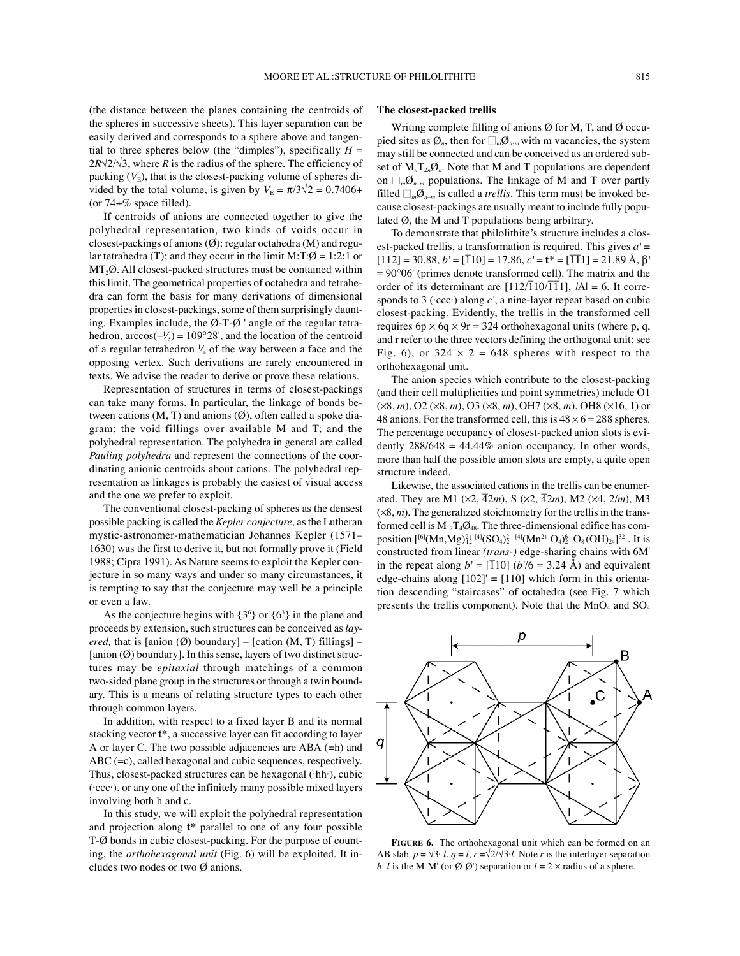(the distance between the planes containing the centroids of the spheres in successive sheets). This layer separation can be easily derived and corresponds to a sphere above and tangential to three spheres below (the "dimples"), specifically  $H =$  $2R\sqrt{2}/\sqrt{3}$ , where *R* is the radius of the sphere. The efficiency of packing  $(V<sub>E</sub>)$ , that is the closest-packing volume of spheres divided by the total volume, is given by  $V_{\rm E} = \pi/3\sqrt{2} = 0.7406 +$ (or  $74 + \%$  space filled).

If centroids of anions are connected together to give the polyhedral representation, two kinds of voids occur in closest-packings of anions (Ø): regular octahedra (M) and regular tetrahedra (T); and they occur in the limit M:T: $\emptyset = 1:2:1$  or  $MT<sub>2</sub>Ø. All closest-packed structures must be contained within$ this limit. The geometrical properties of octahedra and tetrahedra can form the basis for many derivations of dimensional properties in closest-packings, some of them surprisingly daunting. Examples include, the  $\emptyset$ -T- $\emptyset$  ' angle of the regular tetrahedron,  $arccos(-\frac{1}{3}) = 109^{\circ}28'$ , and the location of the centroid of a regular tetrahedron  $\frac{1}{4}$  of the way between a face and the opposing vertex. Such derivations are rarely encountered in texts. We advise the reader to derive or prove these relations.

Representation of structures in terms of closest-packings can take many forms. In particular, the linkage of bonds between cations  $(M, T)$  and anions  $(\emptyset)$ , often called a spoke diagram; the void fillings over available M and T; and the polyhedral representation. The polyhedra in general are called *Pauling polyhedra* and represent the connections of the coordinating anionic centroids about cations. The polyhedral representation as linkages is probably the easiest of visual access and the one we prefer to exploit.

The conventional closest-packing of spheres as the densest possible packing is called the *Kepler conjecture*, as the Lutheran mystic-astronomer-mathematician Johannes Kepler (1571– 1630) was the first to derive it, but not formally prove it (Field 1988; Cipra 1991). As Nature seems to exploit the Kepler conjecture in so many ways and under so many circumstances, it is tempting to say that the conjecture may well be a principle or even a law.

As the conjecture begins with  $\{3^6\}$  or  $\{6^3\}$  in the plane and proceeds by extension, such structures can be conceived as *layered*, that is [anion  $(\emptyset)$  boundary] – [cation  $(M, T)$  fillings] –  $[$ anion  $(\emptyset)$  boundary]. In this sense, layers of two distinct structures may be *epitaxial* through matchings of a common two-sided plane group in the structures or through a twin boundary. This is a means of relating structure types to each other through common layers.

In addition, with respect to a fixed layer B and its normal stacking vector **t\***, a successive layer can fit according to layer A or layer C. The two possible adjacencies are ABA (=h) and ABC (=c), called hexagonal and cubic sequences, respectively. Thus, closest-packed structures can be hexagonal (·hh·), cubic (·ccc·), or any one of the infinitely many possible mixed layers involving both h and c.

In this study, we will exploit the polyhedral representation and projection along **t\*** parallel to one of any four possible T-Ø bonds in cubic closest-packing. For the purpose of counting, the *orthohexagonal unit* (Fig. 6) will be exploited. It includes two nodes or two Ø anions.

### **The closest-packed trellis**

Writing complete filling of anions  $\emptyset$  for M, T, and  $\emptyset$  occupied sites as  $\mathcal{O}_n$ , then for  $\Box_m \mathcal{O}_{n-m}$  with m vacancies, the system may still be connected and can be conceived as an ordered subset of  $M_n T_{2n} \mathcal{O}_n$ . Note that M and T populations are dependent on  $\Box_m \emptyset_{n-m}$  populations. The linkage of M and T over partly filled  $\Box_m \emptyset_{n-m}$  is called a *trellis*. This term must be invoked because closest-packings are usually meant to include fully populated  $\emptyset$ , the M and T populations being arbitrary.

To demonstrate that philolithite's structure includes a closest-packed trellis, a transformation is required. This gives *a'* =  $[112] = 30.88, b' = [\overline{1}10] = 17.86, c' = t^* = [\overline{11}1] = 21.89 \text{ Å}, β'$  $= 90^{\circ}06'$  (primes denote transformed cell). The matrix and the order of its determinant are  $[112/\overline{1}10/\overline{1}1]$ ,  $|A| = 6$ . It corresponds to 3 (·ccc·) along *c'*, a nine-layer repeat based on cubic closest-packing. Evidently, the trellis in the transformed cell requires  $6p \times 6q \times 9r = 324$  orthohexagonal units (where p, q, and r refer to the three vectors defining the orthogonal unit; see Fig. 6), or  $324 \times 2 = 648$  spheres with respect to the orthohexagonal unit.

The anion species which contribute to the closest-packing (and their cell multiplicities and point symmetries) include O1 (×8, *m*), O2 (×8, *m*), O3 (×8, *m*), OH7 (×8, *m*), OH8 (×16, 1) or 48 anions. For the transformed cell, this is  $48 \times 6 = 288$  spheres. The percentage occupancy of closest-packed anion slots is evidently  $288/648 = 44.44\%$  anion occupancy. In other words, more than half the possible anion slots are empty, a quite open structure indeed.

Likewise, the associated cations in the trellis can be enumerated. They are M1 ( $\times$ 2,  $\overline{4}$ 2*m*), S ( $\times$ 2,  $\overline{4}$ 2*m*), M2 ( $\times$ 4, 2*/m*), M3  $(\times 8, m)$ . The generalized stoichiometry for the trellis in the transformed cell is  $M_{12}T_4\mathcal{O}_{48}$ . The three-dimensional edifice has composition  $[{}^{[6]}(Mn, Mg)_{12}^{2+ [4]}(SO_4)_2^{2- [4]}(Mn^{2+}O_4)_2^{6-}O_8(OH)_{24}]^{32-}$ . It is constructed from linear *(trans-)* edge-sharing chains with 6M' in the repeat along  $b' = [\overline{1}10] (b'/6 = 3.24 \text{ Å})$  and equivalent edge-chains along  $[102]' = [110]$  which form in this orientation descending "staircases" of octahedra (see Fig. 7 which presents the trellis component). Note that the  $MnO_4$  and  $SO_4$ 

![](_page_5_Figure_14.jpeg)

**FIGURE 6.** The orthohexagonal unit which can be formed on an AB slab.  $p = \sqrt{3} \cdot l$ ,  $q = l$ ,  $r = \sqrt{2}/\sqrt{3} \cdot l$ . Note *r* is the interlayer separation *h*. *l* is the M-M' (or  $\emptyset$ - $\emptyset$ ') separation or  $l = 2 \times$  radius of a sphere.